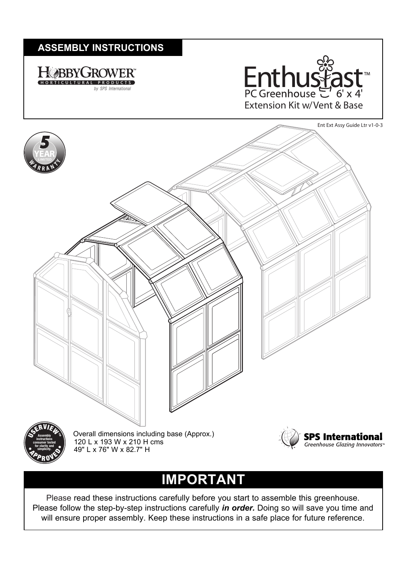## **ASSEMBLY INSTRUCTIONS ASSEMBLY INSTRUCTIONS**







# **IMPORTANT**

Please read these instructions carefully before you start to assemble this greenhouse. Please follow the step-by-step instructions carefully *in order.* Doing so will save you time and will ensure proper assembly. Keep these instructions in a safe place for future reference.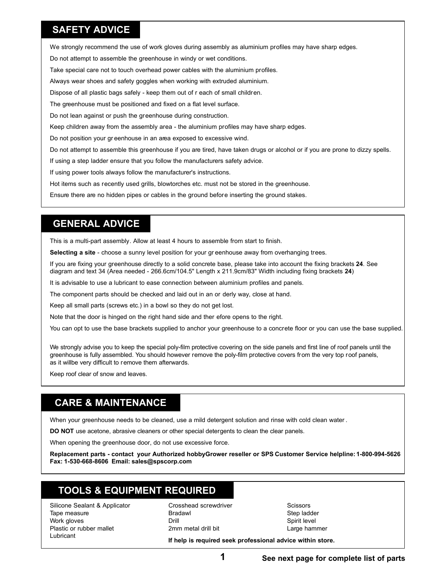#### **SAFETY ADVICE**

We strongly recommend the use of work gloves during assembly as aluminium profiles may have sharp edges.

Do not attempt to assemble the greenhouse in windy or wet conditions.

Take special care not to touch overhead power cables with the aluminium profiles.

Always wear shoes and safety goggles when working with extruded aluminium.

Dispose of all plastic bags safely - keep them out of r each of small children.

The greenhouse must be positioned and fixed on a flat level surface.

Do not lean against or push the greenhouse during construction.

Keep children away from the assembly area - the aluminium profiles may have sharp edges.

Do not position your gr eenhouse in an area exposed to excessive wind.

Do not attempt to assemble this greenhouse if you are tired, have taken drugs or alcohol or if you are prone to dizzy spells.

If using a step ladder ensure that you follow the manufacturers safety advice.

If using power tools always follow the manufacturer's instructions.

Hot items such as recently used grills, blowtorches etc. must not be stored in the greenhouse.

Ensure there are no hidden pipes or cables in the ground before inserting the ground stakes.

#### **GENERAL ADVICE**

This is a multi-part assembly. Allow at least 4 hours to assemble from start to finish.

**Selecting a site** - choose a sunny level position for your gr eenhouse away from overhanging trees.

If you are fixing your greenhouse directly to a solid concrete base, please take into account the fixing brackets **24**. See diagram and text 34 (Area needed - 266.6cm/104.5" Length x 211.9cm/83" Width including fixing brackets **24**)

It is advisable to use a lubricant to ease connection between aluminium profiles and panels.

The component parts should be checked and laid out in an or derly way, close at hand.

Keep all small parts (screws etc.) in a bowl so they do not get lost.

Note that the door is hinged on the right hand side and ther efore opens to the right.

You can opt to use the base brackets supplied to anchor your greenhouse to a concrete floor or you can use the base supplied.

We strongly advise you to keep the special poly-film protective covering on the side panels and first line of roof panels until the greenhouse is fully assembled. You should however remove the poly-film protective covers from the very top roof panels, as it willbe very difficult to remove them afterwards.

Keep roof clear of snow and leaves.

### **CARE & MAINTENANCE**

When your greenhouse needs to be cleaned, use a mild detergent solution and rinse with cold clean water .

**DO NOT** use acetone, abrasive cleaners or other special detergents to clean the clear panels.

When opening the greenhouse door, do not use excessive force.

**Replacement parts - contact your Authorized hobbyGrower reseller or SPS Customer Service helpline: 1-800-994-5626 Fax: 1-530-668-8606 Email: sales@spscorp.com**

## **TOOLS & EQUIPMENT REQUIRED**

Silicone Sealant & Applicator Tape measure Work gloves Plastic or rubber mallet Lubricant

Crosshead screwdriver Bradawl Drill 2mm metal drill bit

**Scissors** Step ladder Spirit level Large hammer

**If help is required seek professional advice within store.**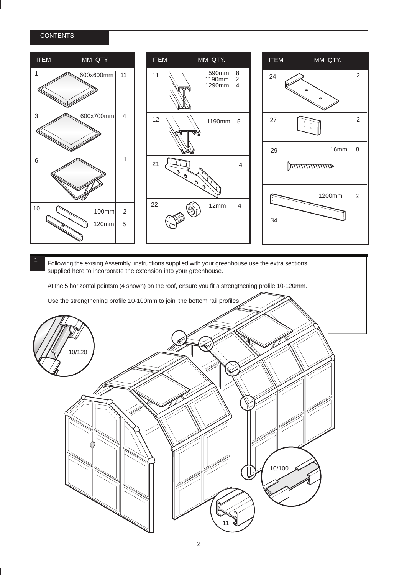#### **CONTENTS**